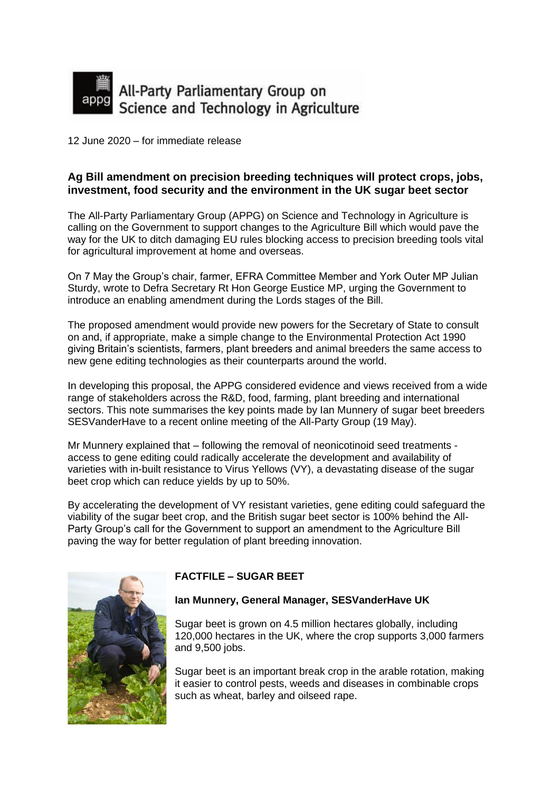

12 June 2020 – for immediate release

# **Ag Bill amendment on precision breeding techniques will protect crops, jobs, investment, food security and the environment in the UK sugar beet sector**

The All-Party Parliamentary Group (APPG) on Science and Technology in Agriculture is calling on the Government to support changes to the Agriculture Bill which would pave the way for the UK to ditch damaging EU rules blocking access to precision breeding tools vital for agricultural improvement at home and overseas.

On 7 May the Group's chair, farmer, EFRA Committee Member and York Outer MP Julian Sturdy, wrote to Defra Secretary Rt Hon George Eustice MP, urging the Government to introduce an enabling amendment during the Lords stages of the Bill.

The proposed amendment would provide new powers for the Secretary of State to consult on and, if appropriate, make a simple change to the Environmental Protection Act 1990 giving Britain's scientists, farmers, plant breeders and animal breeders the same access to new gene editing technologies as their counterparts around the world.

In developing this proposal, the APPG considered evidence and views received from a wide range of stakeholders across the R&D, food, farming, plant breeding and international sectors. This note summarises the key points made by Ian Munnery of sugar beet breeders SESVanderHave to a recent online meeting of the All-Party Group (19 May).

Mr Munnery explained that – following the removal of neonicotinoid seed treatments access to gene editing could radically accelerate the development and availability of varieties with in-built resistance to Virus Yellows (VY), a devastating disease of the sugar beet crop which can reduce yields by up to 50%.

By accelerating the development of VY resistant varieties, gene editing could safeguard the viability of the sugar beet crop, and the British sugar beet sector is 100% behind the All-Party Group's call for the Government to support an amendment to the Agriculture Bill paving the way for better regulation of plant breeding innovation.



# **FACTFILE – SUGAR BEET**

### **Ian Munnery, General Manager, SESVanderHave UK**

Sugar beet is grown on 4.5 million hectares globally, including 120,000 hectares in the UK, where the crop supports 3,000 farmers and 9,500 jobs.

Sugar beet is an important break crop in the arable rotation, making it easier to control pests, weeds and diseases in combinable crops such as wheat, barley and oilseed rape.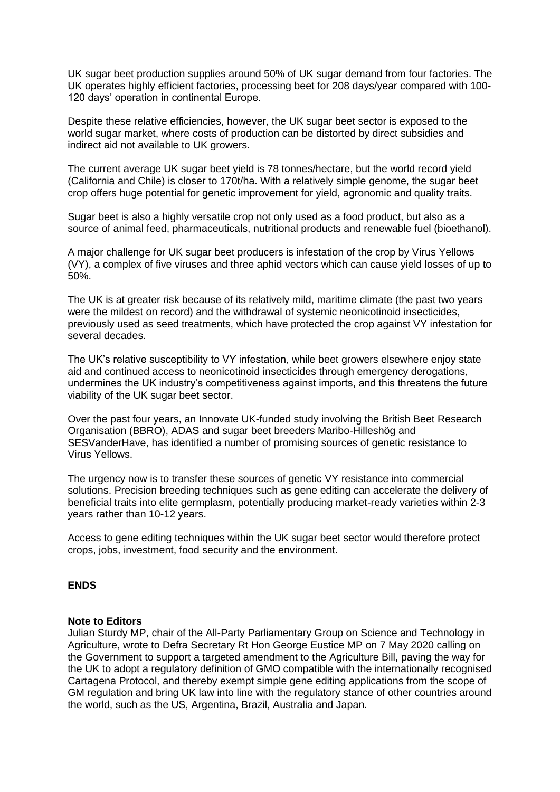UK sugar beet production supplies around 50% of UK sugar demand from four factories. The UK operates highly efficient factories, processing beet for 208 days/year compared with 100- 120 days' operation in continental Europe.

Despite these relative efficiencies, however, the UK sugar beet sector is exposed to the world sugar market, where costs of production can be distorted by direct subsidies and indirect aid not available to UK growers.

The current average UK sugar beet yield is 78 tonnes/hectare, but the world record yield (California and Chile) is closer to 170t/ha. With a relatively simple genome, the sugar beet crop offers huge potential for genetic improvement for yield, agronomic and quality traits.

Sugar beet is also a highly versatile crop not only used as a food product, but also as a source of animal feed, pharmaceuticals, nutritional products and renewable fuel (bioethanol).

A major challenge for UK sugar beet producers is infestation of the crop by Virus Yellows (VY), a complex of five viruses and three aphid vectors which can cause yield losses of up to 50%.

The UK is at greater risk because of its relatively mild, maritime climate (the past two years were the mildest on record) and the withdrawal of systemic neonicotinoid insecticides, previously used as seed treatments, which have protected the crop against VY infestation for several decades.

The UK's relative susceptibility to VY infestation, while beet growers elsewhere enjoy state aid and continued access to neonicotinoid insecticides through emergency derogations, undermines the UK industry's competitiveness against imports, and this threatens the future viability of the UK sugar beet sector.

Over the past four years, an Innovate UK-funded study involving the British Beet Research Organisation (BBRO), ADAS and sugar beet breeders Maribo-Hilleshög and SESVanderHave, has identified a number of promising sources of genetic resistance to Virus Yellows.

The urgency now is to transfer these sources of genetic VY resistance into commercial solutions. Precision breeding techniques such as gene editing can accelerate the delivery of beneficial traits into elite germplasm, potentially producing market-ready varieties within 2-3 years rather than 10-12 years.

Access to gene editing techniques within the UK sugar beet sector would therefore protect crops, jobs, investment, food security and the environment.

### **ENDS**

#### **Note to Editors**

Julian Sturdy MP, chair of the All-Party Parliamentary Group on Science and Technology in Agriculture, wrote to Defra Secretary Rt Hon George Eustice MP on 7 May 2020 calling on the Government to support a targeted amendment to the Agriculture Bill, paving the way for the UK to adopt a regulatory definition of GMO compatible with the internationally recognised Cartagena Protocol, and thereby exempt simple gene editing applications from the scope of GM regulation and bring UK law into line with the regulatory stance of other countries around the world, such as the US, Argentina, Brazil, Australia and Japan.